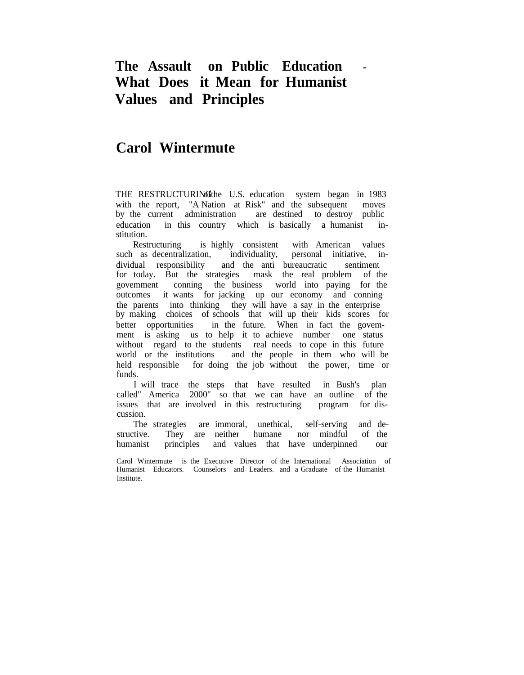## **The Assault on Public Education - What Does it Mean for Humanist Values and Principles**

## **Carol Wintermute**

THE RESTRUCTURING the U.S. education system began in 1983 with the report, "A Nation at Risk" and the subsequent moves by the current administration are destined to destroy public education in this country which is basically a humanist institution.

Restructuring is highly consistent with American values such as decentralization, individuality, personal initiative, individual responsibility and the anti bureaucratic sentiment for today. But the strategies mask the real problem of the govemment conning the business world into paying for the outcomes it wants for jacking up our economy and conning the parents into thinking they will have a say in the enterprise by making choices of schools that will up their kids scores for better opportunities in the future. When in fact the govemment is asking us to help it to achieve number one status without regard to the students real needs to cope in this future world or the institutions and the people in them who will be held responsible for doing the job without the power, time or funds.

I will trace the steps that have resulted in Bush's plan called" America 2000" so that we can have an outline of the issues that are involved in this restructuring program for disissues that are involved in this restructuring cussion.

The strategies are immoral, unethical, self-serving and destructive. They are neither humane nor mindful of the humanist principles and values that have underpinned our

Carol Wintermute is the Executive Director of the International Association of Humanist Educators. Counselors and Leaders. and a Graduate of the Humanist Institute.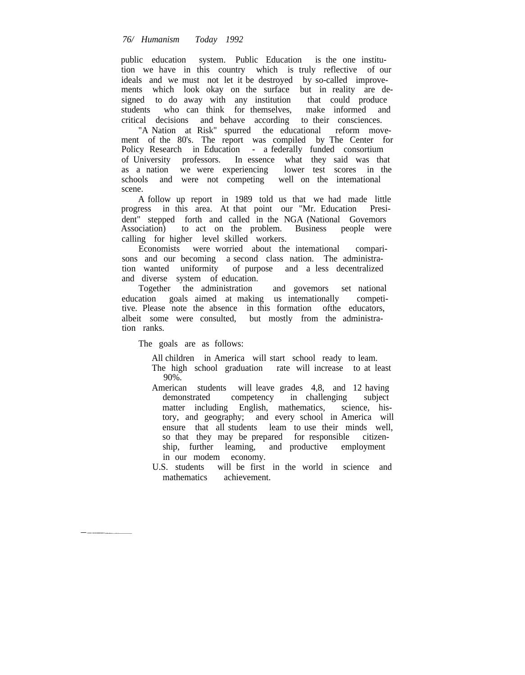public education system. Public Education is the one institution we have in this country which is truly reflective of our ideals and we must not let it be destroyed by so-called improvements which look okay on the surface but in reality are designed to do away with any institution that could produce students who can think for themselves, make informed and critical decisions and behave according to their consciences.

"A Nation at Risk" spurred the educational reform movement of the 80's. The report was compiled by The Center for Policy Research in Education - a federally funded consortium of University professors. In essence what they said was that as a nation we were experiencing lower test scores in the schools and were not competing well on the intemational scene.

A follow up report in 1989 told us that we had made little progress in this area. At that point our "Mr. Education President" stepped forth and called in the NGA (National Govemors Association) to act on the problem. Business people were calling for higher level skilled workers.

Economists were worried about the intemational comparisons and our becoming a second class nation. The administration wanted uniformity of purpose and a less decentralized and diverse system of education.

Together the administration and govemors set national education goals aimed at making us intemationally competitive. Please note the absence in this formation ofthe educators, albeit some were consulted, but mostly from the administration ranks.

The goals are as follows:

All children in America will start school ready to leam. The high school graduation rate will increase to at least 90%.

American students will leave grades 4,8, and 12 having<br>demonstrated competency in challenging subject in challenging subject matter including English, mathematics, science, history, and geography; and every school in America will ensure that all students leam to use their minds well, so that they may be prepared for responsible citizenship, further leaming, and productive employment in our modem economy.

U.S. students will be first in the world in science and mathematics achievement.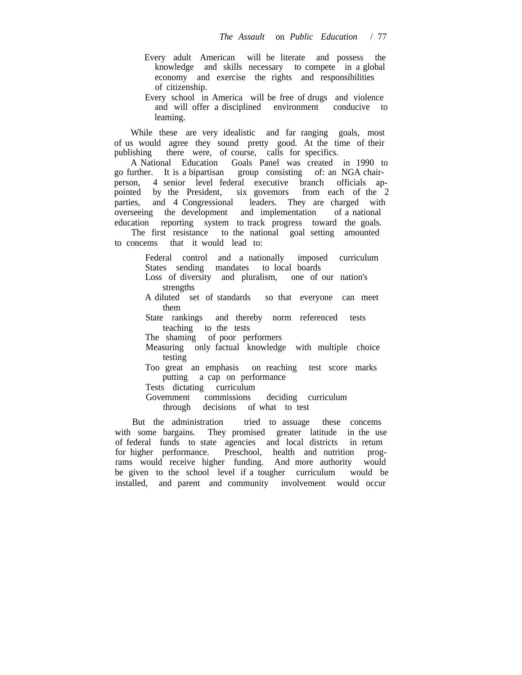- Every adult American will be literate and possess the knowledge and skills necessary to compete in a global economy and exercise the rights and responsibilities of citizenship.
- Every school in America will be free of drugs and violence and will offer a disciplined environment conducive to leaming.

While these are very idealistic and far ranging goals, most of us would agree they sound pretty good. At the time of their publishing there were, of course, calls for specifics.

A National Education Goals Panel was created in 1990 to go further. It is a bipartisan group consisting of: an NGA chairperson, 4 senior level federal executive branch officials appointed by the President, six govemors from each of the 2 parties, and 4 Congressional leaders. They are charged with overseeing the development and implementation of a national education reporting system to track progress toward the goals.

The first resistance to the national goal setting amounted to concems that it would lead to:

> Federal control and a nationally imposed curriculum States sending mandates to local boards

- Loss of diversity and pluralism, one of our nation's strengths
- A diluted set of standards so that everyone can meet them

State rankings and thereby norm referenced tests teaching to the tests

The shaming of poor performers

Measuring only factual knowledge with multiple choice testing

Too great an emphasis on reaching test score marks putting a cap on performance

Tests dictating curriculum

Govemment commissions deciding curriculum

through decisions of what to test

But the administration tried to assuage these concems with some bargains. They promised greater latitude in the use of federal funds to state agencies and local districts in retum for higher performance. Preschool, health and nutrition programs would receive higher funding. And more authority would be given to the school level if a tougher curriculum would be installed, and parent and community involvement would occur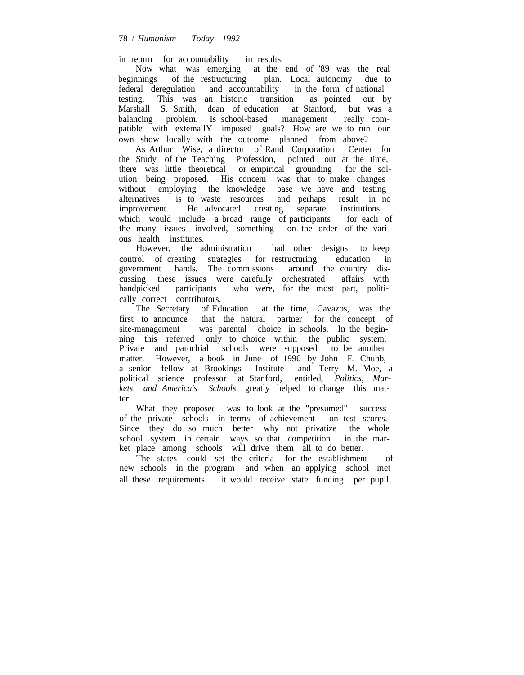in return for accountability in results.

Now what was emerging at the end of '89 was the real beginnings of the restructuring plan. Local autonomy due to federal deregulation and accountability in the form of national testing. This was an historic transition as pointed out by Marshall S. Smith, dean of education at Stanford, but was a balancing problem. Is school-based management really compatible with extemallY imposed goals? How are we to run our own show locally with the outcome planned from above?

As Arthur Wise, a director of Rand Corporation Center for the Study of the Teaching Profession, pointed out at the time, there was little theoretical or empirical grounding for the solution being proposed. His concem was that to make changes without employing the knowledge base we have and testing alternatives is to waste resources and perhaps result in no improvement. He advocated creating separate institutions which would include a broad range of participants for each of the many issues involved, something on the order of the various health institutes.<br>However, the administration

had other designs to keep control of creating strategies for restructuring education in government hands. The commissions around the country discussing these issues were carefully orchestrated affairs with handpicked participants who were, for the most part, politically correct contributors.

The Secretary of Education at the time, Cavazos, was the first to announce that the natural partner for the concept of site-management was parental choice in schools. In the beginning this referred only to choice within the public system. Private and parochial schools were supposed to be another matter. However, a book in June of 1990 by John E. Chubb, a senior fellow at Brookings Institute and Terry M. Moe, a political science professor at Stanford, entitled, *Politics, Markets, and America's Schools* greatly helped to change this matter.

What they proposed was to look at the "presumed" success of the private schools in terms of achievement on test scores. Since they do so much better why not privatize the whole school system in certain ways so that competition in the market place among schools will drive them all to do better.

The states could set the criteria for the establishment of new schools in the program and when an applying school met all these requirements it would receive state funding per pupil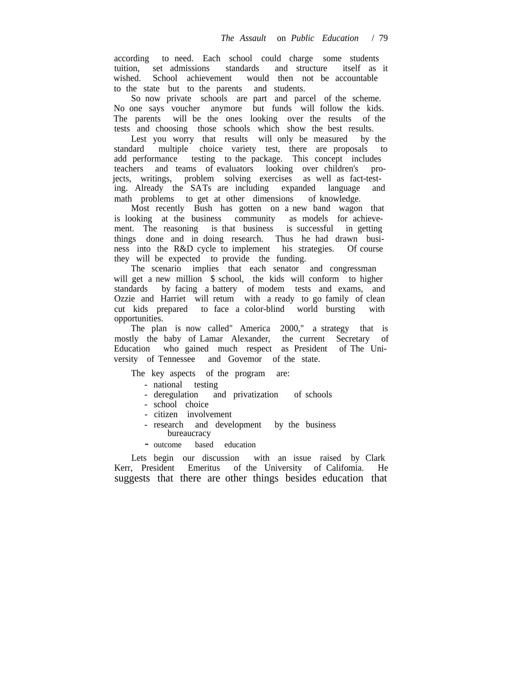according to need. Each school could charge some students tuition, set admissions standards and structure itself as it wished. School achievement would then not be accountable to the state but to the parents and students.

So now private schools are part and parcel of the scheme. No one says voucher anymore but funds will follow the kids. The parents will be the ones looking over the results of the tests and choosing those schools which show the best results.

Lest you worry that results will only be measured by the standard multiple choice variety test, there are proposals to add performance testing to the package. This concept includes teachers and teams of evaluators looking over children's projects, writings, problem solving exercises as well as fact-testing. Already the SATs are including expanded language and math problems to get at other dimensions of knowledge.

Most recently Bush has gotten on a new band wagon that is looking at the business community as models for achievement. The reasoning is that business is successful in getting things done and in doing research. Thus he had drawn business into the R&D cycle to implement his strategies. Of course they will be expected to provide the funding.

The scenario implies that each senator and congressman will get a new million \$ school, the kids will conform to higher standards by facing a battery of modem tests and exams, and Ozzie and Harriet will retum with a ready to go family of clean cut kids prepared to face a color-blind world bursting with opportunities.

The plan is now called" America 2000," a strategy that is mostly the baby of Lamar Alexander, the current Secretary of Education who gained much respect as President of The University of Tennessee and Govemor of the state.

The key aspects of the program are:

- national testing
- deregulation and privatization of schools
- school choice
- citizen involvement
- research and development by the business bureaucracy
- outcome based education

Lets begin our discussion with an issue raised by Clark Kerr, President Emeritus of the University of Califomia. He suggests that there are other things besides education that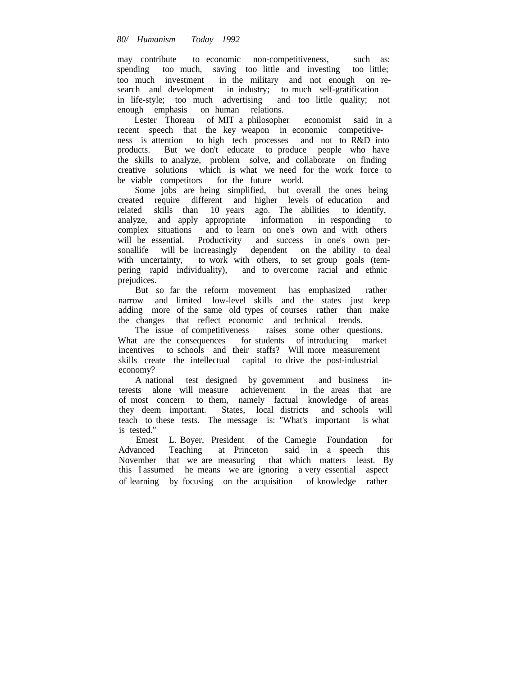## *80/ Humanism Today 1992*

may contribute to economic non-competitiveness, such as: spending too much, saving too little and investing too little; too much investment in the military and not enough on research and development in industry; to much self-gratification in life-style; too much advertising and too little quality; not enough emphasis on human relations.

Lester Thoreau of MIT a philosopher economist said in a recent speech that the key weapon in economic competitiveness is attention to high tech processes and not to R&D into products. But we don't educate to produce people who have the skills to analyze, problem solve, and collaborate on finding creative solutions which is what we need for the work force to be viable competitors for the future world.

Some jobs are being simplified, but overall the ones being created require different and higher levels of education and related skills than 10 years ago. The abilities to identify, analyze, and apply appropriate information in responding to complex situations and to learn on one's own and with others will be essential. Productivity and success in one's own personallife will be increasingly dependent on the ability to deal with uncertainty, to work with others, to set group goals (tempering rapid individuality), and to overcome racial and ethnic prejudices.

But so far the reform movement has emphasized rather narrow and limited low-level skills and the states just keep adding more of the same old types of courses rather than make the changes that reflect economic and technical trends.

The issue of competitiveness raises some other questions. What are the consequences for students of introducing market incentives to schools and their staffs? Will more measurement skills create the intellectual capital to drive the post-industrial economy?

A national test designed by govemment and business interests alone will measure achievement in the areas that are of most concern to them, namely factual knowledge of areas they deem important. States, local districts and schools will teach to these tests. The message is: "What's important is what is tested."

Emest L. Boyer, President of the Camegie Foundation for Advanced Teaching at Princeton said in a speech this November that we are measuring that which matters least. By this I assumed he means we are ignoring a very essential aspect of learning by focusing on the acquisition of knowledge rather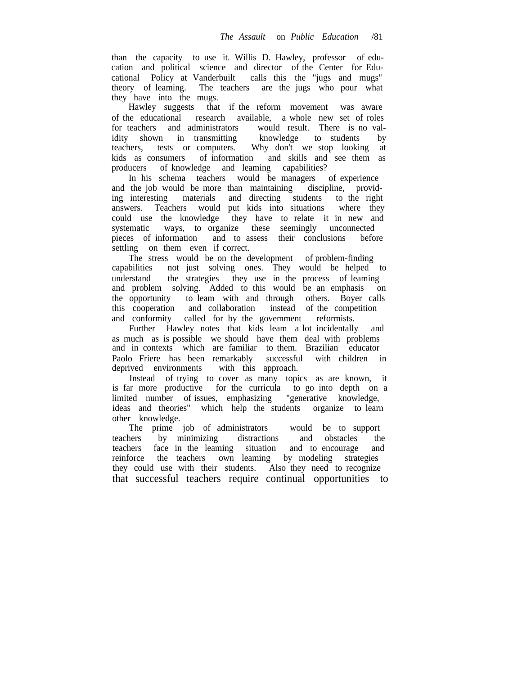than the capacity to use it. Willis D. Hawley, professor of education and political science and director of the Center for Educational Policy at Vanderbuilt calls this the "jugs and mugs" theory of leaming. The teachers are the jugs who pour what they have into the mugs.

Hawley suggests that if the reform movement was aware of the educational research available, a whole new set of roles for teachers and administrators would result. There is no validity shown in transmitting knowledge to students by teachers, tests or computers. Why don't we stop looking at Why don't we stop looking at kids as consumers of information and skills and see them as producers of knowledge and leaming capabilities?

In his schema teachers would be managers of experience and the job would be more than maintaining discipline, providing interesting materials and directing students to the right answers. Teachers would put kids into situations where they could use the knowledge they have to relate it in new and systematic ways, to organize these seemingly unconnected pieces of information and to assess their conclusions before settling on them even if correct.

The stress would be on the development of problem-finding capabilities not just solving ones. They would be helped to understand the strategies they use in the process of leaming and problem solving. Added to this would be an emphasis on the opportunity to leam with and through others. Boyer calls this cooperation and collaboration instead of the competition and conformity called for by the govemment reformists.

Further Hawley notes that kids leam a lot incidentally and as much as is possible we should have them deal with problems and in contexts which are familiar to them. Brazilian educator Paolo Friere has been remarkably successful with children in deprived environments with this approach. with this approach.

Instead of trying to cover as many topics as are known, it is far more productive for the curricula to go into depth on a limited number of issues, emphasizing "generative knowledge, ideas and theories" which help the students organize to learn other knowledge.

The prime job of administrators would be to support teachers by minimizing distractions and obstacles the teachers face in the leaming situation and to encourage and reinforce the teachers own leaming by modeling strategies they could use with their students. Also they need to recognize that successful teachers require continual opportunities to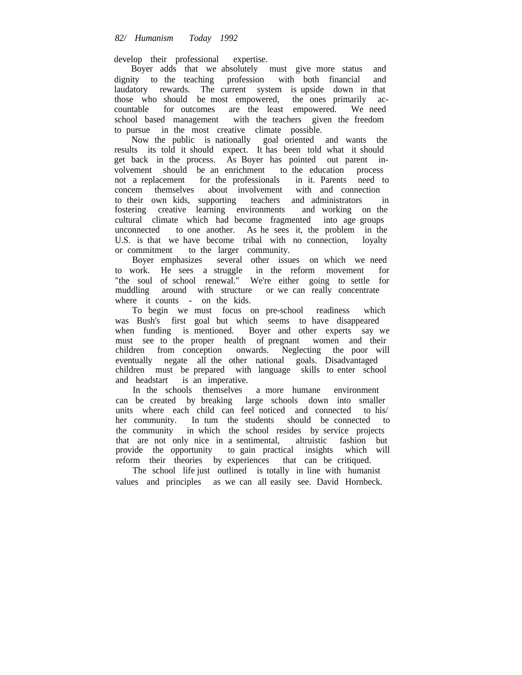develop their professional expertise.

Boyer adds that we absolutely must give more status and dignity to the teaching profession with both financial and laudatory rewards. The current system is upside down in that those who should be most empowered, the ones primarily accountable for outcomes are the least empowered. We need school based management with the teachers given the freedom to pursue in the most creative climate possible.

Now the public is nationally goal oriented and wants the results its told it should expect. It has been told what it should get back in the process. As Boyer has pointed out parent involvement should be an enrichment to the education process not a replacement for the professionals in it. Parents need to concem themselves about involvement with and connection to their own kids, supporting teachers and administrators in fostering creative learning environments and working on the fostering creative learning environments cultural climate which had become fragmented into age groups unconnected to one another. As he sees it, the problem in the U.S. is that we have become tribal with no connection, loyalty or commitment to the larger community.

Boyer emphasizes several other issues on which we need to work. He sees a struggle in the reform movement for "the soul of school renewal." We're either going to settle for muddling around with structure or we can really concentrate where it counts - on the kids.

To begin we must focus on pre-school readiness which was Bush's first goal but which seems to have disappeared when funding is mentioned. Boyer and other experts say we must see to the proper health of pregnant women and their children from conception onwards. Neglecting the poor will eventually negate all the other national goals. Disadvantaged children must be prepared with language skills to enter school and headstart is an imperative.

In the schools themselves a more humane environment can be created by breaking large schools down into smaller units where each child can feel noticed and connected to his/ her community. In tum the students should be connected to the community in which the school resides by service projects that are not only nice in a sentimental, altruistic fashion but provide the opportunity to gain practical insights which will reform their theories by experiences that can be critiqued.

The school life just outlined is totally in line with humanist values and principles as we can all easily see. David Hornbeck.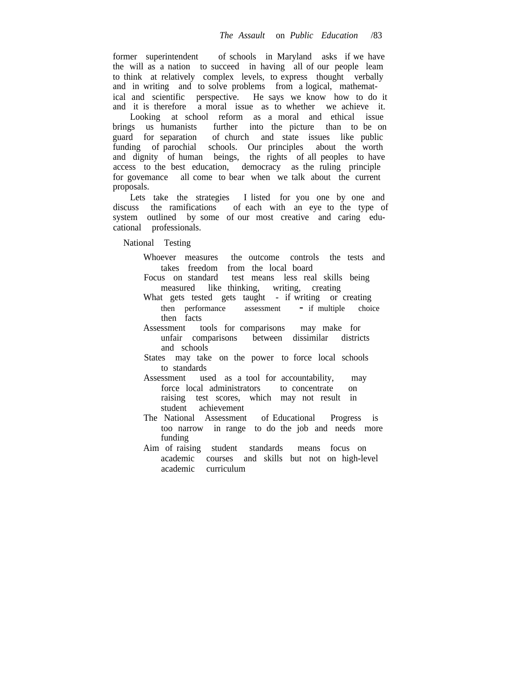former superintendent of schools in Maryland asks if we have the will as a nation to succeed in having all of our people leam to think at relatively complex levels, to express thought verbally and in writing and to solve problems from a logical, mathematical and scientific perspective. He says we know how to do it and it is therefore a moral issue as to whether we achieve it.

Looking at school reform as a moral and ethical issue brings us humanists further into the picture than to be on guard for separation of church and state issues like public funding of parochial schools. Our principles about the worth and dignity of human beings, the rights of all peoples to have access to the best education, democracy as the ruling principle for govemance all come to bear when we talk about the current proposals.

Lets take the strategies I listed for you one by one and discuss the ramifications of each with an eye to the type of system outlined by some of our most creative and caring educational professionals.

National Testing

- Whoever measures the outcome controls the tests and takes freedom from the local board
- Focus on standard test means less real skills being measured like thinking, writing, creating
- What gets tested gets taught if writing or creating then performance assessment - if multiple choice then facts
- Assessment tools for comparisons may make for unfair comparisons between dissimilar districts  $unfair$  comparisons and schools
- States may take on the power to force local schools to standards
- Assessment used as a tool for accountability, may force local administrators to concentrate on raising test scores, which may not result in student achievement
- The National Assessment of Educational Progress is too narrow in range to do the job and needs more funding
- Aim of raising student standards means focus on academic courses and skills but not on high-level academic curriculum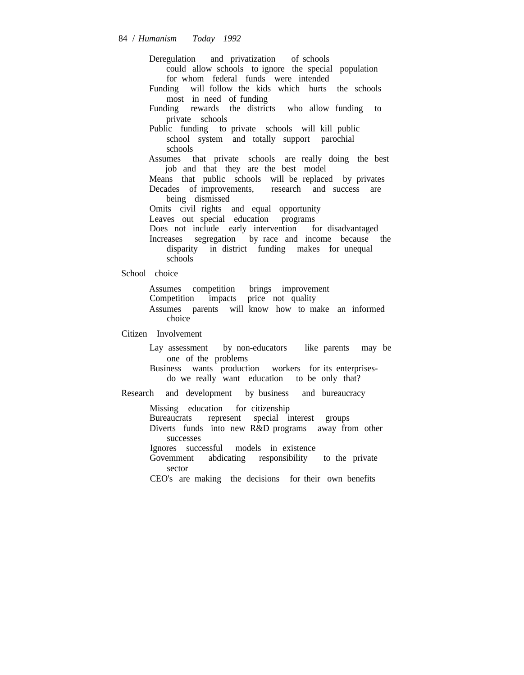Deregulation and privatization of schools could allow schools to ignore the special population for whom federal funds were intended Funding will follow the kids which hurts the schools most in need of funding

Funding rewards the districts who allow funding to private schools

Public funding to private schools will kill public school system and totally support parochial schools

Assumes that private schools are really doing the best job and that they are the best model

Means that public schools will be replaced by privates Decades of improvements, research and success are being dismissed

Omits civil rights and equal opportunity

Leaves out special education programs

Does not include early intervention for disadvantaged

Increases segregation by race and income because the disparity in district funding makes for unequal schools

School choice

Assumes competition brings improvement Competition impacts price not quality Assumes parents will know how to make an informed choice

Citizen Involvement

Lay assessment by non-educators like parents may be one of the problems

Business wants production workers for its enterprisesdo we really want education to be only that?

Research and development by business and bureaucracy

Missing education for citizenship

Bureaucrats represent special interest groups

Diverts funds into new R&D programs away from other successes

Ignores successful models in existence

Govemment abdicating responsibility to the private sector

CEO's are making the decisions for their own benefits